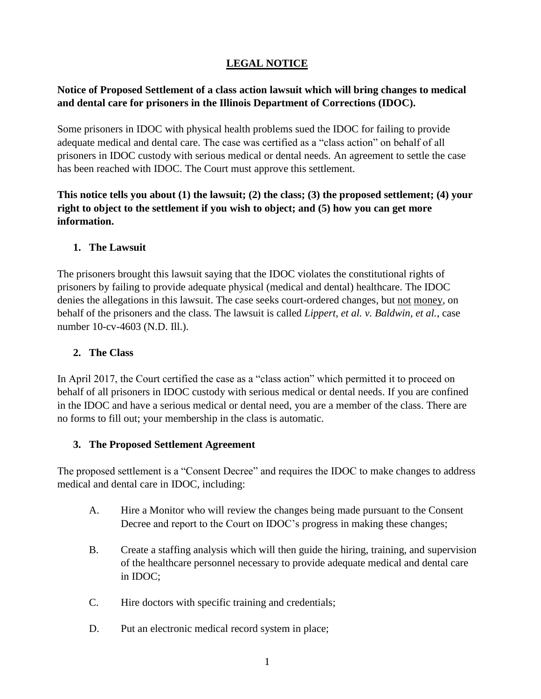# **LEGAL NOTICE**

# **Notice of Proposed Settlement of a class action lawsuit which will bring changes to medical and dental care for prisoners in the Illinois Department of Corrections (IDOC).**

Some prisoners in IDOC with physical health problems sued the IDOC for failing to provide adequate medical and dental care. The case was certified as a "class action" on behalf of all prisoners in IDOC custody with serious medical or dental needs. An agreement to settle the case has been reached with IDOC. The Court must approve this settlement.

**This notice tells you about (1) the lawsuit; (2) the class; (3) the proposed settlement; (4) your right to object to the settlement if you wish to object; and (5) how you can get more information.**

## **1. The Lawsuit**

The prisoners brought this lawsuit saying that the IDOC violates the constitutional rights of prisoners by failing to provide adequate physical (medical and dental) healthcare. The IDOC denies the allegations in this lawsuit. The case seeks court-ordered changes, but not money, on behalf of the prisoners and the class. The lawsuit is called *Lippert, et al. v. Baldwin, et al.*, case number 10-cv-4603 (N.D. Ill.).

### **2. The Class**

In April 2017, the Court certified the case as a "class action" which permitted it to proceed on behalf of all prisoners in IDOC custody with serious medical or dental needs. If you are confined in the IDOC and have a serious medical or dental need, you are a member of the class. There are no forms to fill out; your membership in the class is automatic.

#### **3. The Proposed Settlement Agreement**

The proposed settlement is a "Consent Decree" and requires the IDOC to make changes to address medical and dental care in IDOC, including:

- A. Hire a Monitor who will review the changes being made pursuant to the Consent Decree and report to the Court on IDOC's progress in making these changes;
- B. Create a staffing analysis which will then guide the hiring, training, and supervision of the healthcare personnel necessary to provide adequate medical and dental care in IDOC;
- C. Hire doctors with specific training and credentials;
- D. Put an electronic medical record system in place;